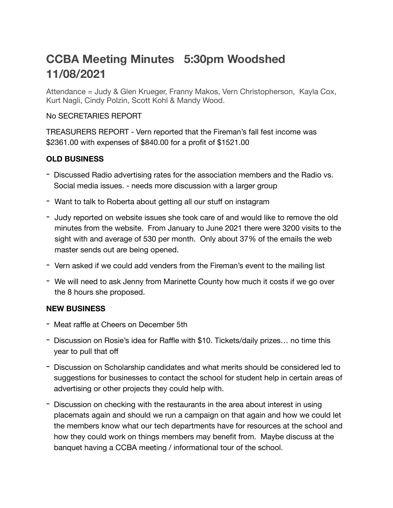## **CCBA Meeting Minutes 5:30pm Woodshed 11/08/2021**

Attendance = Judy & Glen Krueger, Franny Makos, Vern Christopherson, Kayla Cox, Kurt Nagli, Cindy Polzin, Scott Kohl & Mandy Wood.

## No SECRETARIES REPORT

TREASURERS REPORT - Vern reported that the Fireman's fall fest income was \$2361.00 with expenses of \$840.00 for a profit of \$1521.00

## **OLD BUSINESS**

- Discussed Radio advertising rates for the association members and the Radio vs. Social media issues. - needs more discussion with a larger group
- Want to talk to Roberta about getting all our stuff on instagram
- Judy reported on website issues she took care of and would like to remove the old minutes from the website. From January to June 2021 there were 3200 visits to the sight with and average of 530 per month. Only about 37% of the emails the web master sends out are being opened.
- Vern asked if we could add venders from the Fireman's event to the mailing list
- We will need to ask Jenny from Marinette County how much it costs if we go over the 8 hours she proposed.

## **NEW BUSINESS**

- Meat raffle at Cheers on December 5th
- Discussion on Rosie's idea for Raffle with \$10. Tickets/daily prizes… no time this year to pull that off
- Discussion on Scholarship candidates and what merits should be considered led to suggestions for businesses to contact the school for student help in certain areas of advertising or other projects they could help with.
- Discussion on checking with the restaurants in the area about interest in using placemats again and should we run a campaign on that again and how we could let the members know what our tech departments have for resources at the school and how they could work on things members may benefit from. Maybe discuss at the banquet having a CCBA meeting / informational tour of the school.